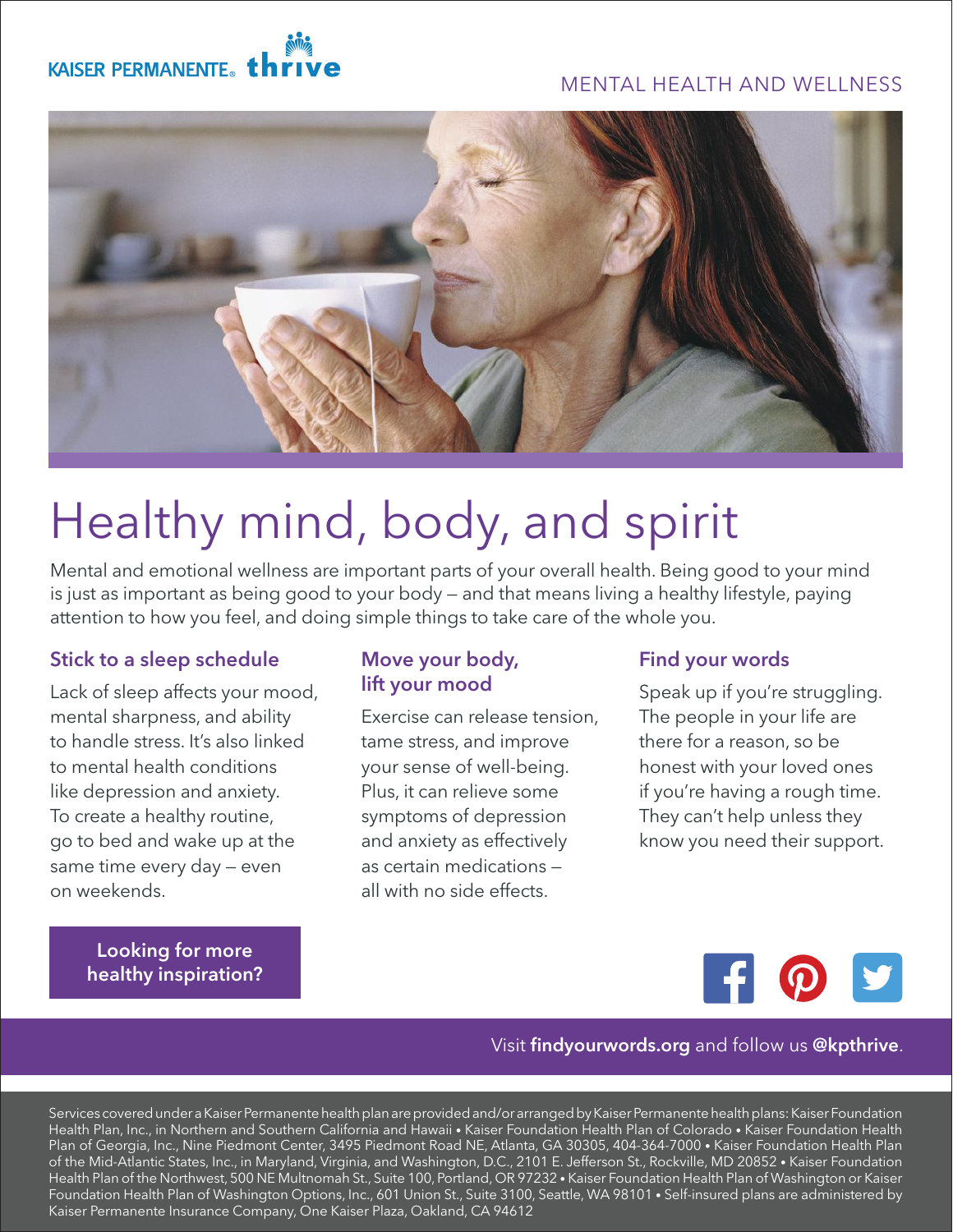# MENTAL HEALTH AND WELLNESS





# Healthy mind, body, and spirit

Mental and emotional wellness are important parts of your overall health. Being good to your mind is just as important as being good to your body — and that means living a healthy lifestyle, paying attention to how you feel, and doing simple things to take care of the whole you.

## Stick to a sleep schedule

Lack of sleep affects your mood, mental sharpness, and ability to handle stress. It's also linked to mental health conditions like depression and anxiety. To create a healthy routine, go to bed and wake up at the same time every day — even on weekends.

> Looking for more [healthy inspiration?](http://findyourwords.org)

### Move your body, lift your mood

Exercise can release tension, tame stress, and improve your sense of well-being. Plus, it can relieve some symptoms of depression and anxiety as effectively as certain medications all with no side effects.

## Find your words

Speak up if you're struggling. The people in your life are there for a reason, so be honest with your loved ones if you're having a rough time. They can't help unless they know you need their support.

H.

#### Visit findyourwords.org and follow us @kpthrive.

Services covered under a Kaiser Permanente health plan are provided and/or arranged by Kaiser Permanente health plans: Kaiser Foundation Health Plan, Inc., in Northern and Southern California and Hawaii • Kaiser Foundation Health Plan of Colorado • Kaiser Foundation Health Plan of Georgia, Inc., Nine Piedmont Center, 3495 Piedmont Road NE, Atlanta, GA 30305, 404-364-7000 • Kaiser Foundation Health Plan of the Mid-Atlantic States, Inc., in Maryland, Virginia, and Washington, D.C., 2101 E. Jefferson St., Rockville, MD 20852 • Kaiser Foundation Health Plan of the Northwest, 500 NE Multnomah St., Suite 100, Portland, OR 97232 • Kaiser Foundation Health Plan of Washington or Kaiser Foundation Health Plan of Washington Options, Inc., 601 Union St., Suite 3100, Seattle, WA 98101 • Self-insured plans are administered by Kaiser Permanente Insurance Company, One Kaiser Plaza, Oakland, CA 94612